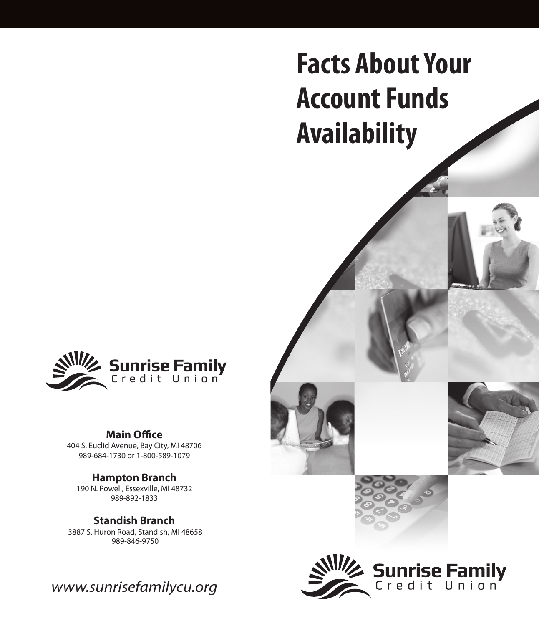# **Facts About Your Account Funds Availability**



#### **Main Office**

404 S. Euclid Avenue, Bay City, MI 48706 989-684-1730 or 1-800-589-1079

### **Hampton Branch**

190 N. Powell, Essexville, MI 48732 989-892-1833

**Standish Branch** 3887 S. Huron Road, Standish, MI 48658 989-846-9750

*www.sunrisefamilycu.org*